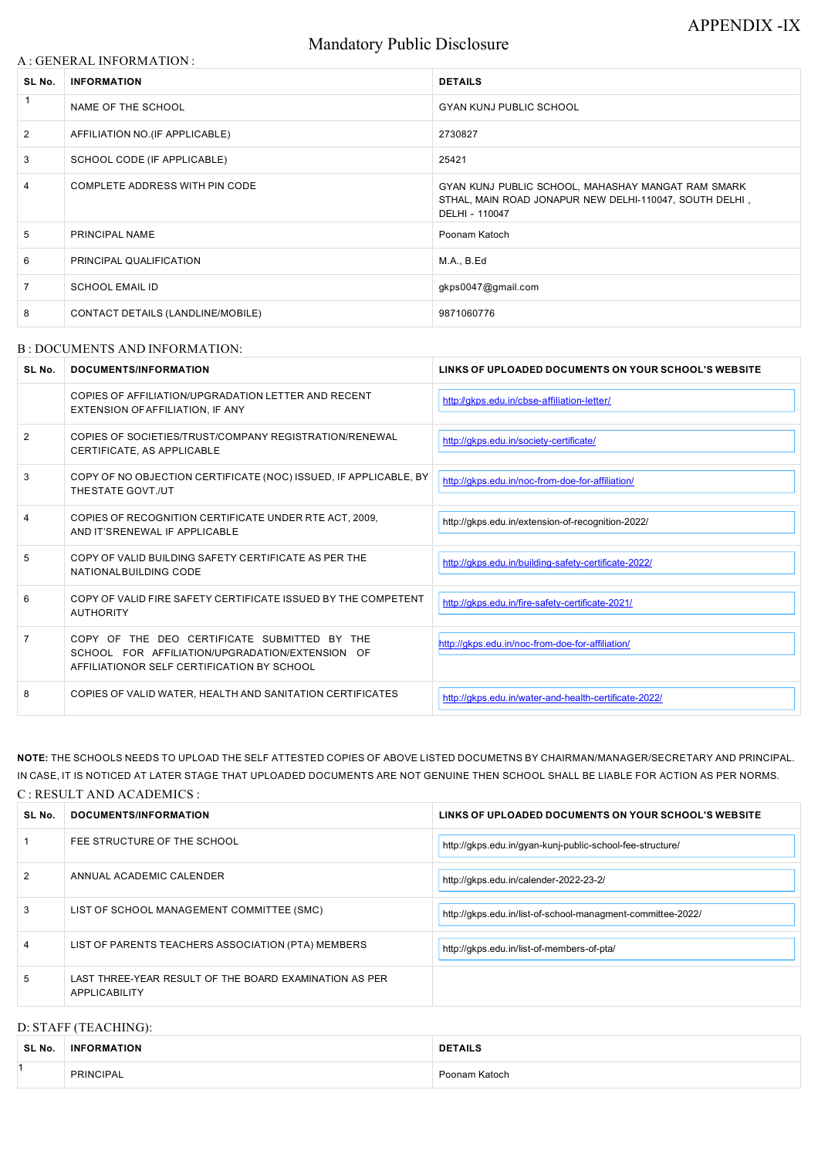# Mandatory Public Disclosure

### A : GENERAL INFORMATION :

| SL No.       | <b>INFORMATION</b>                | <b>DETAILS</b>                                                                                                                  |
|--------------|-----------------------------------|---------------------------------------------------------------------------------------------------------------------------------|
| $\mathbf{1}$ | NAME OF THE SCHOOL                | <b>GYAN KUNJ PUBLIC SCHOOL</b>                                                                                                  |
| 2            | AFFILIATION NO.(IF APPLICABLE)    | 2730827                                                                                                                         |
| 3            | SCHOOL CODE (IF APPLICABLE)       | 25421                                                                                                                           |
| 4            | COMPLETE ADDRESS WITH PIN CODE    | GYAN KUNJ PUBLIC SCHOOL, MAHASHAY MANGAT RAM SMARK<br>STHAL, MAIN ROAD JONAPUR NEW DELHI-110047, SOUTH DELHI,<br>DELHI - 110047 |
| 5            | PRINCIPAL NAME                    | Poonam Katoch                                                                                                                   |
| 6            | PRINCIPAL QUALIFICATION           | M.A., B.Ed                                                                                                                      |
| 7            | <b>SCHOOL EMAIL ID</b>            | gkps0047@gmail.com                                                                                                              |
| 8            | CONTACT DETAILS (LANDLINE/MOBILE) | 9871060776                                                                                                                      |

#### B : DOCUMENTS AND INFORMATION:

| SL No.         | <b>DOCUMENTS/INFORMATION</b>                                                                                                                  | LINKS OF UPLOADED DOCUMENTS ON YOUR SCHOOL'S WEBSITE  |  |
|----------------|-----------------------------------------------------------------------------------------------------------------------------------------------|-------------------------------------------------------|--|
|                | COPIES OF AFFILIATION/UPGRADATION LETTER AND RECENT<br>EXTENSION OF AFFILIATION, IF ANY                                                       | http://gkps.edu.in/cbse-affiliation-letter/           |  |
| 2              | COPIES OF SOCIETIES/TRUST/COMPANY REGISTRATION/RENEWAL<br>CERTIFICATE, AS APPLICABLE                                                          | http://qkps.edu.in/society-certificate/               |  |
| 3              | COPY OF NO OBJECTION CERTIFICATE (NOC) ISSUED, IF APPLICABLE, BY<br>THESTATE GOVT./UT                                                         | http://qkps.edu.in/noc-from-doe-for-affiliation/      |  |
| 4              | COPIES OF RECOGNITION CERTIFICATE UNDER RTE ACT, 2009.<br>AND IT'SRENEWAL IF APPLICABLE                                                       | http://gkps.edu.in/extension-of-recognition-2022/     |  |
| 5              | COPY OF VALID BUILDING SAFETY CERTIFICATE AS PER THE<br>NATIONALBUILDING CODE                                                                 | http://qkps.edu.in/building-safety-certificate-2022/  |  |
| 6              | COPY OF VALID FIRE SAFETY CERTIFICATE ISSUED BY THE COMPETENT<br><b>AUTHORITY</b>                                                             | http://qkps.edu.in/fire-safety-certificate-2021/      |  |
| $\overline{7}$ | COPY OF THE DEO CERTIFICATE SUBMITTED BY THE<br>SCHOOL FOR AFFILIATION/UPGRADATION/EXTENSION OF<br>AFFILIATIONOR SELF CERTIFICATION BY SCHOOL | http://qkps.edu.in/noc-from-doe-for-affiliation/      |  |
| 8              | COPIES OF VALID WATER, HEALTH AND SANITATION CERTIFICATES                                                                                     | http://qkps.edu.in/water-and-health-certificate-2022/ |  |

**NOTE:** THE SCHOOLS NEEDS TO UPLOAD THE SELF ATTESTED COPIES OF ABOVE LISTED DOCUMETNS BY CHAIRMAN/MANAGER/SECRETARY AND PRINCIPAL. IN CASE, IT IS NOTICED AT LATER STAGE THAT UPLOADED DOCUMENTS ARE NOT GENUINE THEN SCHOOL SHALL BE LIABLE FOR ACTION AS PER NORMS. C : RESULT AND ACADEMICS :

| SL No.        | <b>DOCUMENTS/INFORMATION</b>                                            | LINKS OF UPLOADED DOCUMENTS ON YOUR SCHOOL'S WEBSITE        |  |
|---------------|-------------------------------------------------------------------------|-------------------------------------------------------------|--|
|               | FEE STRUCTURE OF THE SCHOOL                                             | http://gkps.edu.in/gyan-kunj-public-school-fee-structure/   |  |
| $\mathcal{P}$ | ANNUAL ACADEMIC CALENDER                                                | http://gkps.edu.in/calender-2022-23-2/                      |  |
| 3             | LIST OF SCHOOL MANAGEMENT COMMITTEE (SMC)                               | http://gkps.edu.in/list-of-school-managment-committee-2022/ |  |
| 4             | LIST OF PARENTS TEACHERS ASSOCIATION (PTA) MEMBERS                      | http://gkps.edu.in/list-of-members-of-pta/                  |  |
| 5             | LAST THREE-YEAR RESULT OF THE BOARD EXAMINATION AS PER<br>APPLICABILITY |                                                             |  |

## D: STAFF (TEACHING):

| SL No. | <b>ORMATION</b><br><b>INF</b> | <b>DETAILS</b> |  |
|--------|-------------------------------|----------------|--|
|        | <b>'CIPAL</b><br>PRINC.       | Katoch         |  |